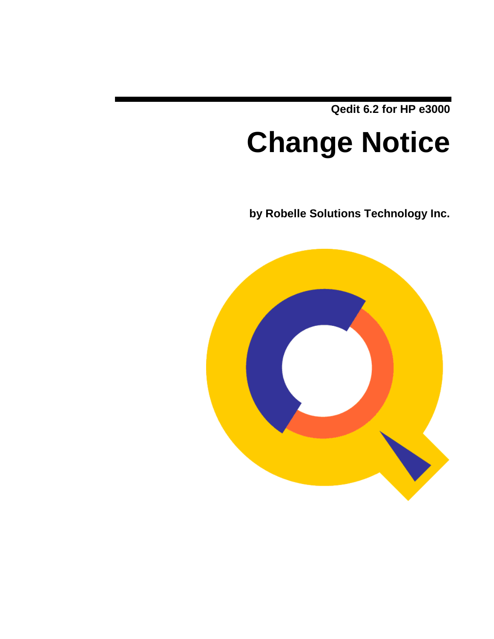**Qedit 6.2 for HP e3000**

# **Change Notice**

**by Robelle Solutions Technology Inc.**

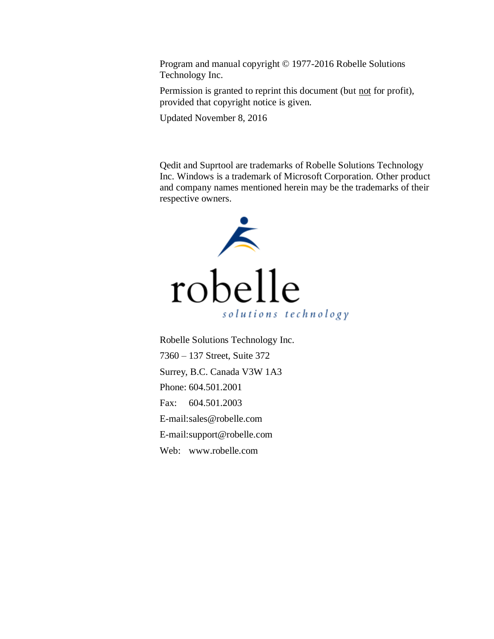Program and manual copyright © 1977-2016 Robelle Solutions Technology Inc.

Permission is granted to reprint this document (but not for profit), provided that copyright notice is given.

Updated November 8, 2016

Qedit and Suprtool are trademarks of Robelle Solutions Technology Inc. Windows is a trademark of Microsoft Corporation. Other product and company names mentioned herein may be the trademarks of their respective owners.



Robelle Solutions Technology Inc. 7360 – 137 Street, Suite 372 Surrey, B.C. Canada V3W 1A3 Phone: 604.501.2001 Fax: 604.501.2003 E-mail:sales@robelle.com E-mail:support@robelle.com Web: www.robelle.com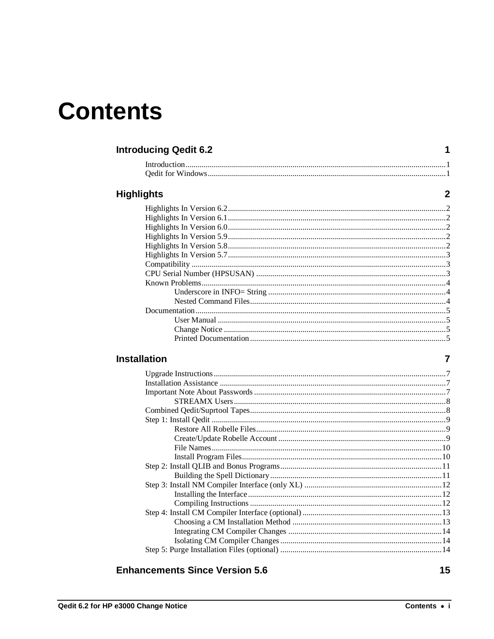## **Contents**

| <b>Introducing Qedit 6.2</b> |  |
|------------------------------|--|
|                              |  |
|                              |  |

#### **Highlights**

#### **Installation**

**Enhancements Since Version 5.6** 

15

 $\overline{2}$ 

 $\overline{7}$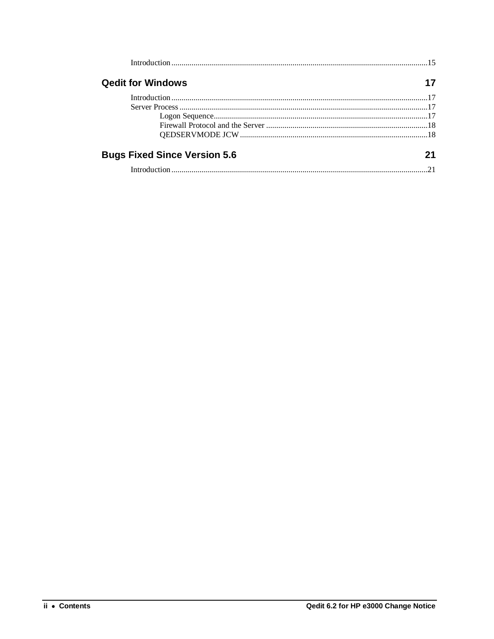| <b>Qedit for Windows</b>            |  |
|-------------------------------------|--|
|                                     |  |
|                                     |  |
|                                     |  |
|                                     |  |
|                                     |  |
| <b>Bugs Fixed Since Version 5.6</b> |  |
|                                     |  |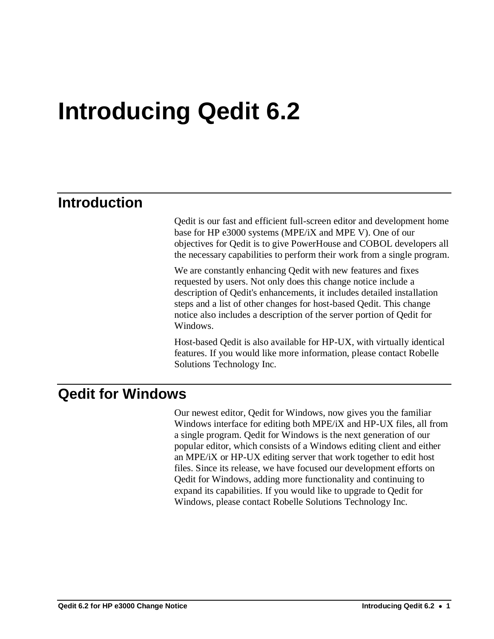## **Introducing Qedit 6.2**

## **Introduction**

Qedit is our fast and efficient full-screen editor and development home base for HP e3000 systems (MPE/iX and MPE V). One of our objectives for Qedit is to give PowerHouse and COBOL developers all the necessary capabilities to perform their work from a single program.

We are constantly enhancing Qedit with new features and fixes requested by users. Not only does this change notice include a description of Qedit's enhancements, it includes detailed installation steps and a list of other changes for host-based Qedit. This change notice also includes a description of the server portion of Qedit for Windows.

Host-based Qedit is also available for HP-UX, with virtually identical features. If you would like more information, please contact Robelle Solutions Technology Inc.

### **Qedit for Windows**

Our newest editor, Qedit for Windows, now gives you the familiar Windows interface for editing both MPE/iX and HP-UX files, all from a single program. Qedit for Windows is the next generation of our popular editor, which consists of a Windows editing client and either an MPE/iX or HP-UX editing server that work together to edit host files. Since its release, we have focused our development efforts on Qedit for Windows, adding more functionality and continuing to expand its capabilities. If you would like to upgrade to Qedit for Windows, please contact Robelle Solutions Technology Inc.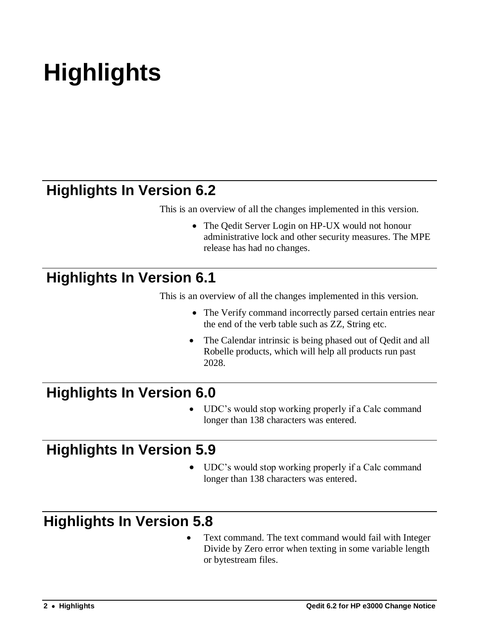# **Highlights**

## **Highlights In Version 6.2**

This is an overview of all the changes implemented in this version.

• The Qedit Server Login on HP-UX would not honour administrative lock and other security measures. The MPE release has had no changes.

## **Highlights In Version 6.1**

This is an overview of all the changes implemented in this version.

- The Verify command incorrectly parsed certain entries near the end of the verb table such as ZZ, String etc.
- The Calendar intrinsic is being phased out of Qedit and all Robelle products, which will help all products run past 2028.

## **Highlights In Version 6.0**

 UDC's would stop working properly if a Calc command longer than 138 characters was entered.

## **Highlights In Version 5.9**

 UDC's would stop working properly if a Calc command longer than 138 characters was entered.

## **Highlights In Version 5.8**

 Text command. The text command would fail with Integer Divide by Zero error when texting in some variable length or bytestream files.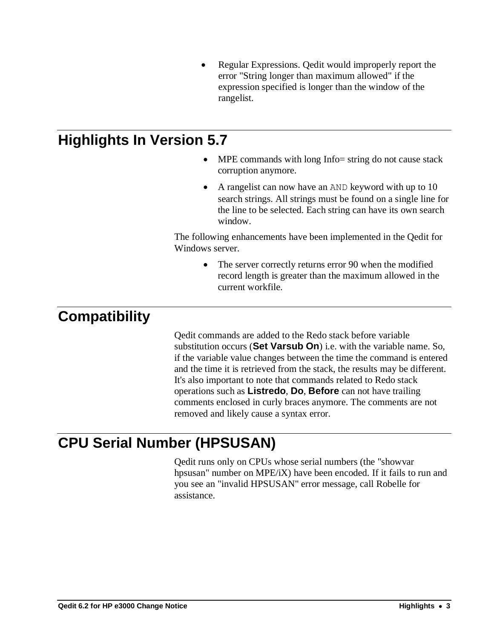Regular Expressions. Qedit would improperly report the error "String longer than maximum allowed" if the expression specified is longer than the window of the rangelist.

## **Highlights In Version 5.7**

- MPE commands with long Info= string do not cause stack corruption anymore.
- A rangelist can now have an AND keyword with up to 10 search strings. All strings must be found on a single line for the line to be selected. Each string can have its own search window.

The following enhancements have been implemented in the Qedit for Windows server.

> The server correctly returns error 90 when the modified record length is greater than the maximum allowed in the current workfile.

## **Compatibility**

Qedit commands are added to the Redo stack before variable substitution occurs (**Set Varsub On**) i.e. with the variable name. So, if the variable value changes between the time the command is entered and the time it is retrieved from the stack, the results may be different. It's also important to note that commands related to Redo stack operations such as **Listredo**, **Do**, **Before** can not have trailing comments enclosed in curly braces anymore. The comments are not removed and likely cause a syntax error.

## **CPU Serial Number (HPSUSAN)**

Qedit runs only on CPUs whose serial numbers (the "showvar hpsusan" number on MPE/iX) have been encoded. If it fails to run and you see an "invalid HPSUSAN" error message, call Robelle for assistance.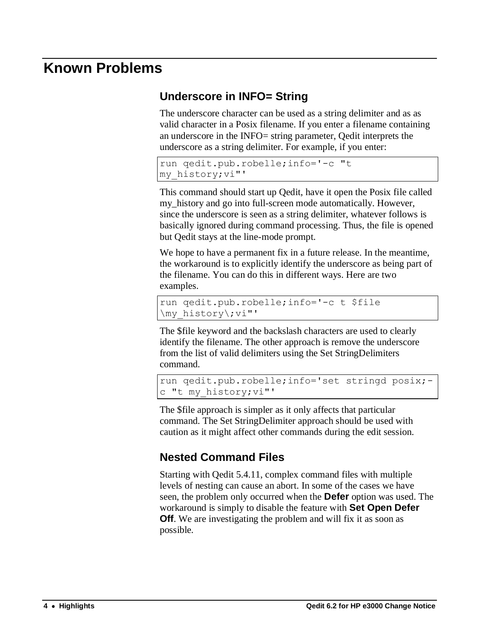## **Known Problems**

#### **Underscore in INFO= String**

The underscore character can be used as a string delimiter and as as valid character in a Posix filename. If you enter a filename containing an underscore in the INFO= string parameter, Qedit interprets the underscore as a string delimiter. For example, if you enter:

```
run qedit.pub.robelle;info='-c "t 
my history;vi"'
```
This command should start up Qedit, have it open the Posix file called my\_history and go into full-screen mode automatically. However, since the underscore is seen as a string delimiter, whatever follows is basically ignored during command processing. Thus, the file is opened but Qedit stays at the line-mode prompt.

We hope to have a permanent fix in a future release. In the meantime, the workaround is to explicitly identify the underscore as being part of the filename. You can do this in different ways. Here are two examples.

```
run qedit.pub.robelle;info='-c t $file 
\my_history\;vi"'
```
The \$file keyword and the backslash characters are used to clearly identify the filename. The other approach is remove the underscore from the list of valid delimiters using the Set StringDelimiters command.

```
run qedit.pub.robelle;info='set stringd posix;-
c "t my_history;vi"'
```
The \$file approach is simpler as it only affects that particular command. The Set StringDelimiter approach should be used with caution as it might affect other commands during the edit session.

#### **Nested Command Files**

Starting with Qedit 5.4.11, complex command files with multiple levels of nesting can cause an abort. In some of the cases we have seen, the problem only occurred when the **Defer** option was used. The workaround is simply to disable the feature with **Set Open Defer Off**. We are investigating the problem and will fix it as soon as possible.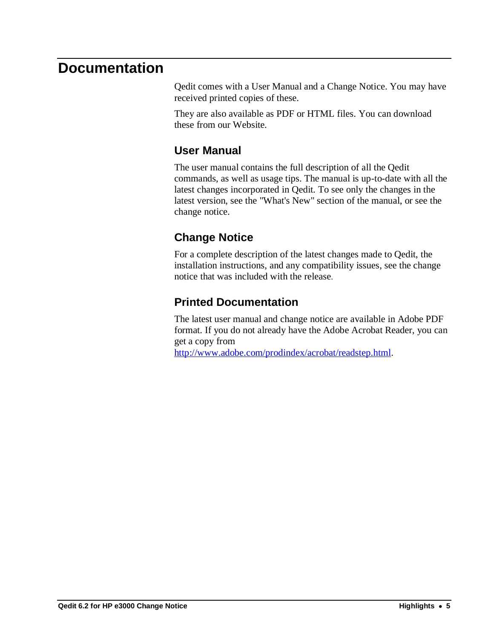## **Documentation**

Qedit comes with a User Manual and a Change Notice. You may have received printed copies of these.

They are also available as PDF or HTML files. You can download these from our Website.

#### **User Manual**

The user manual contains the full description of all the Qedit commands, as well as usage tips. The manual is up-to-date with all the latest changes incorporated in Qedit. To see only the changes in the latest version, see the "What's New" section of the manual, or see the change notice.

#### **Change Notice**

For a complete description of the latest changes made to Qedit, the installation instructions, and any compatibility issues, see the change notice that was included with the release.

#### **Printed Documentation**

The latest user manual and change notice are available in Adobe PDF format. If you do not already have the Adobe Acrobat Reader, you can get a copy from

[http://www.adobe.com/prodindex/acrobat/readstep.html.](http://www.adobe.com/prodindex/acrobat/readstep.html)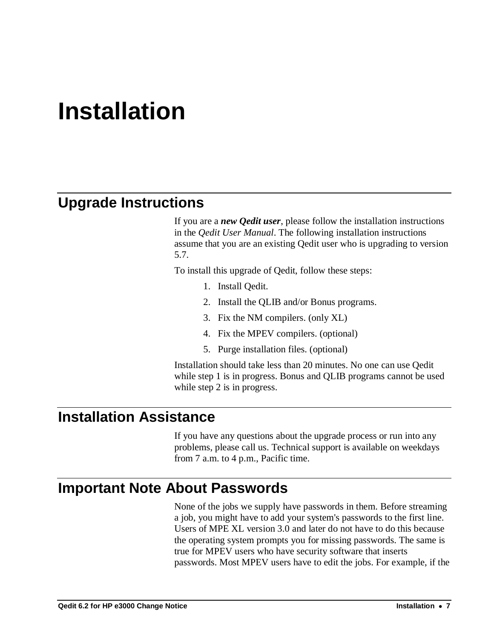## **Installation**

## **Upgrade Instructions**

If you are a *new Qedit user*, please follow the installation instructions in the *Qedit User Manual*. The following installation instructions assume that you are an existing Qedit user who is upgrading to version 5.7.

To install this upgrade of Qedit, follow these steps:

- 1. Install Qedit.
- 2. Install the QLIB and/or Bonus programs.
- 3. Fix the NM compilers. (only XL)
- 4. Fix the MPEV compilers. (optional)
- 5. Purge installation files. (optional)

Installation should take less than 20 minutes. No one can use Qedit while step 1 is in progress. Bonus and QLIB programs cannot be used while step 2 is in progress.

#### **Installation Assistance**

If you have any questions about the upgrade process or run into any problems, please call us. Technical support is available on weekdays from 7 a.m. to 4 p.m., Pacific time.

### **Important Note About Passwords**

None of the jobs we supply have passwords in them. Before streaming a job, you might have to add your system's passwords to the first line. Users of MPE XL version 3.0 and later do not have to do this because the operating system prompts you for missing passwords. The same is true for MPEV users who have security software that inserts passwords. Most MPEV users have to edit the jobs. For example, if the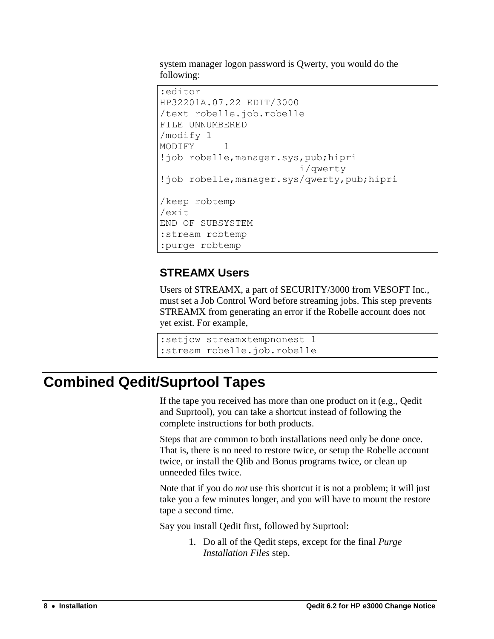system manager logon password is Qwerty, you would do the following:

```
:editor
HP32201A.07.22 EDIT/3000
/text robelle.job.robelle
FILE UNNUMBERED
/modify 1
MODIFY 1
!job robelle,manager.sys,pub;hipri
                         i/qwerty
!job robelle,manager.sys/qwerty,pub;hipri
/keep robtemp
/exit
END OF SUBSYSTEM
:stream robtemp
:purge robtemp
```
#### **STREAMX Users**

Users of STREAMX, a part of SECURITY/3000 from VESOFT Inc., must set a Job Control Word before streaming jobs. This step prevents STREAMX from generating an error if the Robelle account does not yet exist. For example,

```
:setjcw streamxtempnonest 1
:stream robelle.job.robelle
```
## **Combined Qedit/Suprtool Tapes**

If the tape you received has more than one product on it (e.g., Qedit and Suprtool), you can take a shortcut instead of following the complete instructions for both products.

Steps that are common to both installations need only be done once. That is, there is no need to restore twice, or setup the Robelle account twice, or install the Qlib and Bonus programs twice, or clean up unneeded files twice.

Note that if you do *not* use this shortcut it is not a problem; it will just take you a few minutes longer, and you will have to mount the restore tape a second time.

Say you install Qedit first, followed by Suprtool:

1. Do all of the Qedit steps, except for the final *Purge Installation Files* step.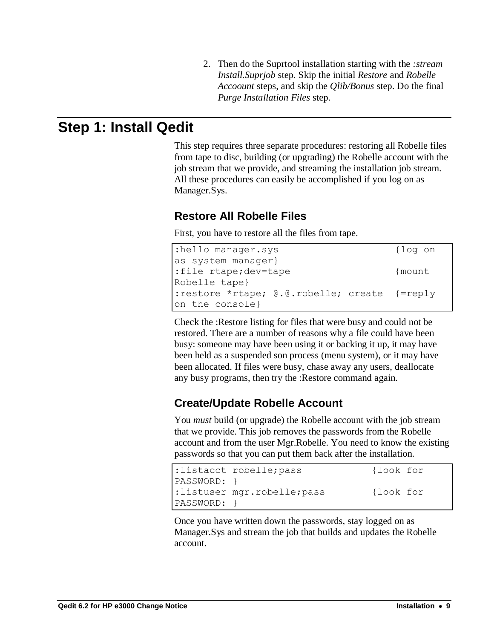2. Then do the Suprtool installation starting with the *:stream Install.Suprjob* step. Skip the initial *Restore* and *Robelle Accoount* steps, and skip the *Qlib/Bonus* step. Do the final *Purge Installation Files* step.

### **Step 1: Install Qedit**

This step requires three separate procedures: restoring all Robelle files from tape to disc, building (or upgrading) the Robelle account with the job stream that we provide, and streaming the installation job stream. All these procedures can easily be accomplished if you log on as Manager.Sys.

#### **Restore All Robelle Files**

First, you have to restore all the files from tape.

| :hello manager.sys                           | {loq on |
|----------------------------------------------|---------|
| as system manager}                           |         |
| :file rtape;dev=tape                         | {mount  |
| Robelle tape}                                |         |
| :restore *rtape; @.@.robelle; create {=reply |         |
| on the console}                              |         |

Check the :Restore listing for files that were busy and could not be restored. There are a number of reasons why a file could have been busy: someone may have been using it or backing it up, it may have been held as a suspended son process (menu system), or it may have been allocated. If files were busy, chase away any users, deallocate any busy programs, then try the :Restore command again.

#### **Create/Update Robelle Account**

You *must* build (or upgrade) the Robelle account with the job stream that we provide. This job removes the passwords from the Robelle account and from the user Mgr.Robelle. You need to know the existing passwords so that you can put them back after the installation.

|                | :listacct robelle; pass     | {look for |  |
|----------------|-----------------------------|-----------|--|
| $ PASSWORD:$ } |                             |           |  |
|                | :listuser mgr.robelle; pass | {look for |  |
| PASSWORD: }    |                             |           |  |

Once you have written down the passwords, stay logged on as Manager.Sys and stream the job that builds and updates the Robelle account.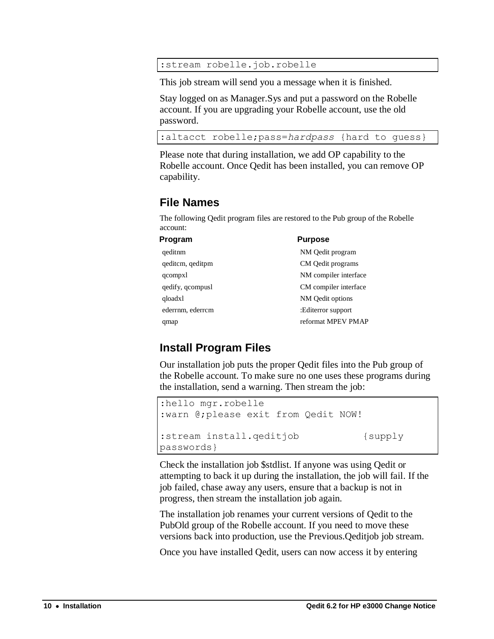:stream robelle.job.robelle

This job stream will send you a message when it is finished.

Stay logged on as Manager.Sys and put a password on the Robelle account. If you are upgrading your Robelle account, use the old password.

```
:altacct robelle;pass=hardpass {hard to guess}
```
Please note that during installation, we add OP capability to the Robelle account. Once Qedit has been installed, you can remove OP capability.

#### **File Names**

The following Qedit program files are restored to the Pub group of the Robelle account:

| Program          | <b>Purpose</b>        |
|------------------|-----------------------|
| qeditnm          | NM Qedit program      |
| qeditcm, qeditpm | CM Qedit programs     |
| qcompxl          | NM compiler interface |
| qedify, qcompusl | CM compiler interface |
| qloadxl          | NM Qedit options      |
| ederrnm, ederrcm | :Editerror support    |
| qmap             | reformat MPEV PMAP    |

#### **Install Program Files**

Our installation job puts the proper Qedit files into the Pub group of the Robelle account. To make sure no one uses these programs during the installation, send a warning. Then stream the job:

```
:hello mgr.robelle
:warn @;please exit from Qedit NOW!
:stream install.qeditjob {supply 
passwords}
```
Check the installation job \$stdlist. If anyone was using Qedit or attempting to back it up during the installation, the job will fail. If the job failed, chase away any users, ensure that a backup is not in progress, then stream the installation job again.

The installation job renames your current versions of Qedit to the PubOld group of the Robelle account. If you need to move these versions back into production, use the Previous.Qeditjob job stream.

Once you have installed Qedit, users can now access it by entering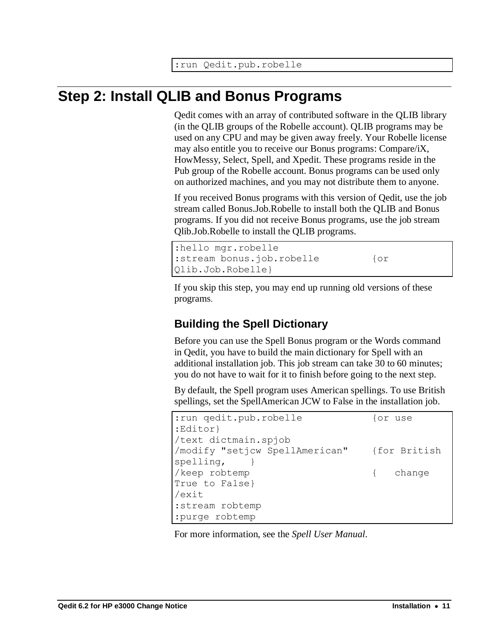## **Step 2: Install QLIB and Bonus Programs**

Qedit comes with an array of contributed software in the QLIB library (in the QLIB groups of the Robelle account). QLIB programs may be used on any CPU and may be given away freely. Your Robelle license may also entitle you to receive our Bonus programs: Compare/iX, HowMessy, Select, Spell, and Xpedit. These programs reside in the Pub group of the Robelle account. Bonus programs can be used only on authorized machines, and you may not distribute them to anyone.

If you received Bonus programs with this version of Qedit, use the job stream called Bonus.Job.Robelle to install both the QLIB and Bonus programs. If you did not receive Bonus programs, use the job stream Qlib.Job.Robelle to install the QLIB programs.

```
:hello mgr.robelle
:stream bonus.job.robelle {or
Qlib.Job.Robelle}
```
If you skip this step, you may end up running old versions of these programs.

#### **Building the Spell Dictionary**

Before you can use the Spell Bonus program or the Words command in Qedit, you have to build the main dictionary for Spell with an additional installation job. This job stream can take 30 to 60 minutes; you do not have to wait for it to finish before going to the next step.

By default, the Spell program uses American spellings. To use British spellings, set the SpellAmerican JCW to False in the installation job.

| : run qedit.pub.robelle                     | for use  |
|---------------------------------------------|----------|
| :Editor}                                    |          |
| /text dictmain.spjob                        |          |
| /modify "setjcw SpellAmerican" {for British |          |
| spelling,                                   |          |
| /keep robtemp                               | { change |
| True to False}                              |          |
| $/$ exit                                    |          |
| :stream robtemp                             |          |
| :purge robtemp                              |          |

For more information, see the *Spell User Manual*.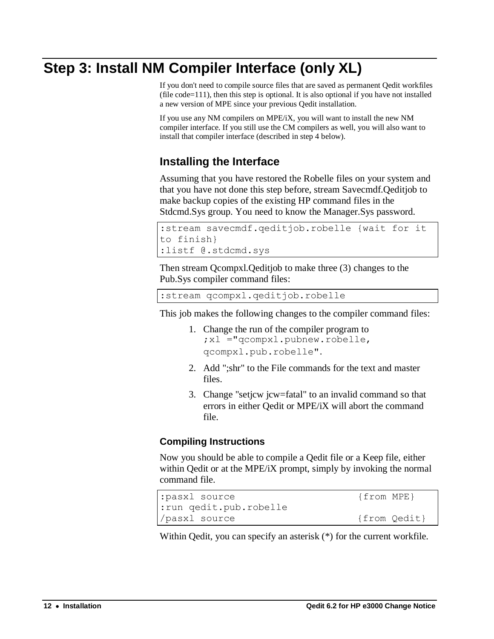## **Step 3: Install NM Compiler Interface (only XL)**

If you don't need to compile source files that are saved as permanent Qedit workfiles (file code=111), then this step is optional. It is also optional if you have not installed a new version of MPE since your previous Qedit installation.

If you use any NM compilers on MPE/iX, you will want to install the new NM compiler interface. If you still use the CM compilers as well, you will also want to install that compiler interface (described in step 4 below).

#### **Installing the Interface**

Assuming that you have restored the Robelle files on your system and that you have not done this step before, stream Savecmdf.Qeditjob to make backup copies of the existing HP command files in the Stdcmd.Sys group. You need to know the Manager.Sys password.

```
:stream savecmdf.qeditjob.robelle {wait for it 
to finish}
:listf @.stdcmd.sys
```
Then stream Qcompxl.Qeditjob to make three (3) changes to the Pub.Sys compiler command files:

:stream qcompxl.qeditjob.robelle

This job makes the following changes to the compiler command files:

- 1. Change the run of the compiler program to ;xl ="qcompxl.pubnew.robelle, qcompxl.pub.robelle".
- 2. Add ";shr" to the File commands for the text and master files.
- 3. Change "setjcw jcw=fatal" to an invalid command so that errors in either Qedit or MPE/iX will abort the command file.

#### **Compiling Instructions**

Now you should be able to compile a Qedit file or a Keep file, either within Qedit or at the MPE/iX prompt, simply by invoking the normal command file.

```
:pasxl source {from MPE}
:run qedit.pub.robelle
/pasxl source {from Qedit}
```
Within Qedit, you can specify an asterisk (\*) for the current workfile.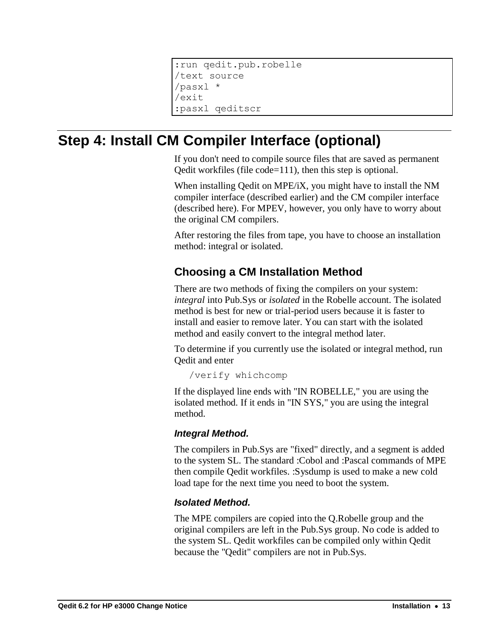```
:run qedit.pub.robelle
/text source
/pasxl *
/exit
:pasxl qeditscr
```
## **Step 4: Install CM Compiler Interface (optional)**

If you don't need to compile source files that are saved as permanent Qedit workfiles (file code=111), then this step is optional.

When installing Qedit on MPE/iX, you might have to install the NM compiler interface (described earlier) and the CM compiler interface (described here). For MPEV, however, you only have to worry about the original CM compilers.

After restoring the files from tape, you have to choose an installation method: integral or isolated.

#### **Choosing a CM Installation Method**

There are two methods of fixing the compilers on your system: *integral* into Pub.Sys or *isolated* in the Robelle account. The isolated method is best for new or trial-period users because it is faster to install and easier to remove later. You can start with the isolated method and easily convert to the integral method later.

To determine if you currently use the isolated or integral method, run Qedit and enter

/verify whichcomp

If the displayed line ends with "IN ROBELLE," you are using the isolated method. If it ends in "IN SYS," you are using the integral method.

#### *Integral Method.*

The compilers in Pub.Sys are "fixed" directly, and a segment is added to the system SL. The standard :Cobol and :Pascal commands of MPE then compile Qedit workfiles. :Sysdump is used to make a new cold load tape for the next time you need to boot the system.

#### *Isolated Method.*

The MPE compilers are copied into the Q.Robelle group and the original compilers are left in the Pub.Sys group. No code is added to the system SL. Qedit workfiles can be compiled only within Qedit because the "Qedit" compilers are not in Pub.Sys.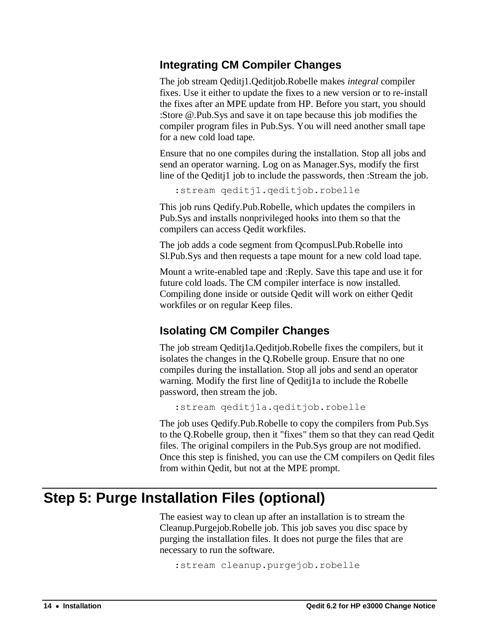#### **Integrating CM Compiler Changes**

The job stream Qeditj1.Qeditjob.Robelle makes *integral* compiler fixes. Use it either to update the fixes to a new version or to re-install the fixes after an MPE update from HP. Before you start, you should :Store @.Pub.Sys and save it on tape because this job modifies the compiler program files in Pub.Sys. You will need another small tape for a new cold load tape.

Ensure that no one compiles during the installation. Stop all jobs and send an operator warning. Log on as Manager.Sys, modify the first line of the Qeditj1 job to include the passwords, then :Stream the job.

:stream qeditj1.qeditjob.robelle

This job runs Qedify.Pub.Robelle, which updates the compilers in Pub.Sys and installs nonprivileged hooks into them so that the compilers can access Qedit workfiles.

The job adds a code segment from Qcompusl.Pub.Robelle into Sl.Pub.Sys and then requests a tape mount for a new cold load tape.

Mount a write-enabled tape and :Reply. Save this tape and use it for future cold loads. The CM compiler interface is now installed. Compiling done inside or outside Qedit will work on either Qedit workfiles or on regular Keep files.

#### **Isolating CM Compiler Changes**

The job stream Qeditj1a.Qeditjob.Robelle fixes the compilers, but it isolates the changes in the Q.Robelle group. Ensure that no one compiles during the installation. Stop all jobs and send an operator warning. Modify the first line of Qeditj1a to include the Robelle password, then stream the job.

```
:stream qeditj1a.qeditjob.robelle
```
The job uses Qedify.Pub.Robelle to copy the compilers from Pub.Sys to the Q.Robelle group, then it "fixes" them so that they can read Qedit files. The original compilers in the Pub.Sys group are not modified. Once this step is finished, you can use the CM compilers on Qedit files from within Qedit, but not at the MPE prompt.

## **Step 5: Purge Installation Files (optional)**

The easiest way to clean up after an installation is to stream the Cleanup.Purgejob.Robelle job. This job saves you disc space by purging the installation files. It does not purge the files that are necessary to run the software.

```
:stream cleanup.purgejob.robelle
```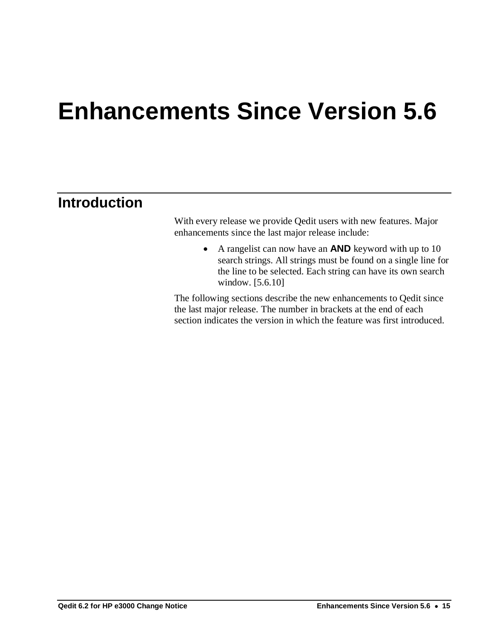## **Enhancements Since Version 5.6**

## **Introduction**

With every release we provide Qedit users with new features. Major enhancements since the last major release include:

> A rangelist can now have an **AND** keyword with up to 10 search strings. All strings must be found on a single line for the line to be selected. Each string can have its own search window. [5.6.10]

The following sections describe the new enhancements to Qedit since the last major release. The number in brackets at the end of each section indicates the version in which the feature was first introduced.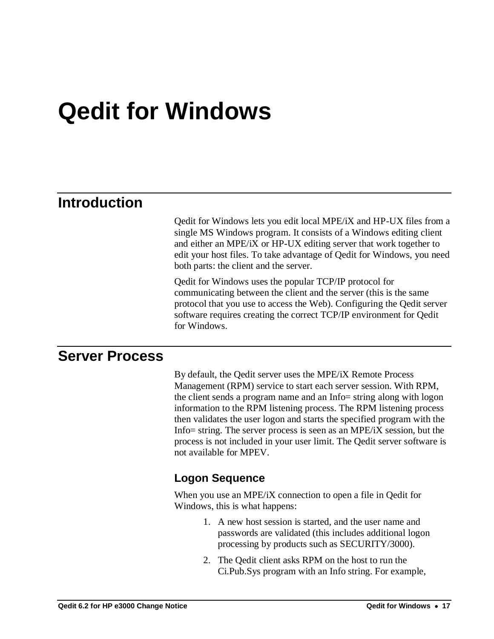## **Qedit for Windows**

## **Introduction**

Qedit for Windows lets you edit local MPE/iX and HP-UX files from a single MS Windows program. It consists of a Windows editing client and either an MPE/iX or HP-UX editing server that work together to edit your host files. To take advantage of Qedit for Windows, you need both parts: the client and the server.

Qedit for Windows uses the popular TCP/IP protocol for communicating between the client and the server (this is the same protocol that you use to access the Web). Configuring the Qedit server software requires creating the correct TCP/IP environment for Qedit for Windows.

### **Server Process**

By default, the Qedit server uses the MPE/iX Remote Process Management (RPM) service to start each server session. With RPM, the client sends a program name and an Info= string along with logon information to the RPM listening process. The RPM listening process then validates the user logon and starts the specified program with the Info= string. The server process is seen as an MPE/iX session, but the process is not included in your user limit. The Qedit server software is not available for MPEV.

#### **Logon Sequence**

When you use an MPE/iX connection to open a file in Qedit for Windows, this is what happens:

- 1. A new host session is started, and the user name and passwords are validated (this includes additional logon processing by products such as SECURITY/3000).
- 2. The Qedit client asks RPM on the host to run the Ci.Pub.Sys program with an Info string. For example,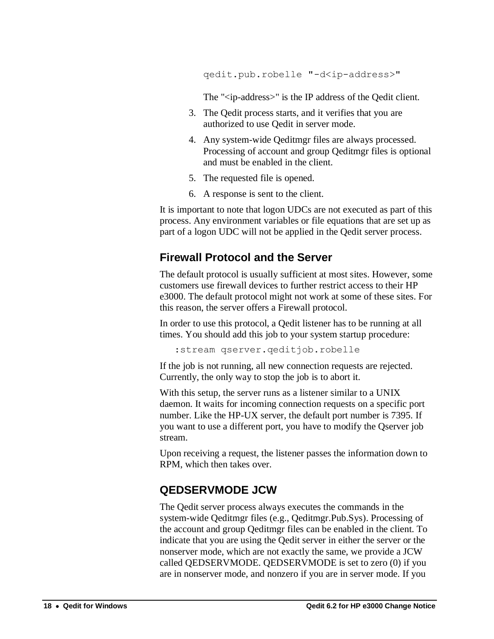qedit.pub.robelle "-d<ip-address>"

The "<ip-address>" is the IP address of the Qedit client.

- 3. The Qedit process starts, and it verifies that you are authorized to use Qedit in server mode.
- 4. Any system-wide Qeditmgr files are always processed. Processing of account and group Qeditmgr files is optional and must be enabled in the client.
- 5. The requested file is opened.
- 6. A response is sent to the client.

It is important to note that logon UDCs are not executed as part of this process. Any environment variables or file equations that are set up as part of a logon UDC will not be applied in the Qedit server process.

#### **Firewall Protocol and the Server**

The default protocol is usually sufficient at most sites. However, some customers use firewall devices to further restrict access to their HP e3000. The default protocol might not work at some of these sites. For this reason, the server offers a Firewall protocol.

In order to use this protocol, a Qedit listener has to be running at all times. You should add this job to your system startup procedure:

:stream qserver.qeditjob.robelle

If the job is not running, all new connection requests are rejected. Currently, the only way to stop the job is to abort it.

With this setup, the server runs as a listener similar to a UNIX daemon. It waits for incoming connection requests on a specific port number. Like the HP-UX server, the default port number is 7395. If you want to use a different port, you have to modify the Qserver job stream.

Upon receiving a request, the listener passes the information down to RPM, which then takes over.

#### **QEDSERVMODE JCW**

The Qedit server process always executes the commands in the system-wide Qeditmgr files (e.g., Qeditmgr.Pub.Sys). Processing of the account and group Qeditmgr files can be enabled in the client. To indicate that you are using the Qedit server in either the server or the nonserver mode, which are not exactly the same, we provide a JCW called QEDSERVMODE. QEDSERVMODE is set to zero (0) if you are in nonserver mode, and nonzero if you are in server mode. If you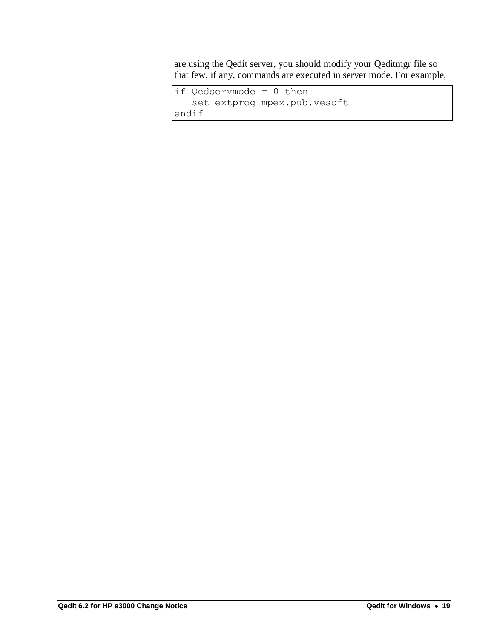are using the Qedit server, you should modify your Qeditmgr file so that few, if any, commands are executed in server mode. For example,

```
if Qedservmode = 0 then
    set extprog mpex.pub.vesoft
endif
```